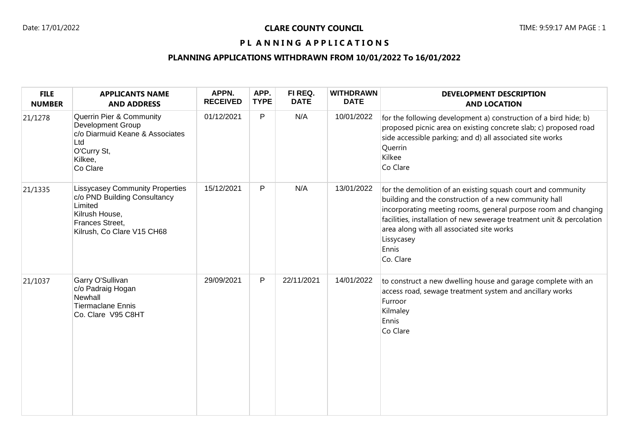# PL ANNING APPLICATIONS

# **PLANNING APPLICATIONS WITHDRAWN FROM 10/01/2022 To 16/01/2022**

| <b>FILE</b><br><b>NUMBER</b> | <b>APPLICANTS NAME</b><br><b>AND ADDRESS</b>                                                                                                         | APPN.<br><b>RECEIVED</b> | APP.<br><b>TYPE</b> | FI REQ.<br><b>DATE</b> | <b>WITHDRAWN</b><br><b>DATE</b> | <b>DEVELOPMENT DESCRIPTION</b><br><b>AND LOCATION</b>                                                                                                                                                                                                                                                                                             |
|------------------------------|------------------------------------------------------------------------------------------------------------------------------------------------------|--------------------------|---------------------|------------------------|---------------------------------|---------------------------------------------------------------------------------------------------------------------------------------------------------------------------------------------------------------------------------------------------------------------------------------------------------------------------------------------------|
| 21/1278                      | Querrin Pier & Community<br>Development Group<br>c/o Diarmuid Keane & Associates<br>Ltd<br>O'Curry St,<br>Kilkee,<br>Co Clare                        | 01/12/2021               | P                   | N/A                    | 10/01/2022                      | for the following development a) construction of a bird hide; b)<br>proposed picnic area on existing concrete slab; c) proposed road<br>side accessible parking; and d) all associated site works<br>Querrin<br>Kilkee<br>Co Clare                                                                                                                |
| 21/1335                      | <b>Lissycasey Community Properties</b><br>c/o PND Building Consultancy<br>Limited<br>Kilrush House,<br>Frances Street,<br>Kilrush, Co Clare V15 CH68 | 15/12/2021               | P                   | N/A                    | 13/01/2022                      | for the demolition of an existing squash court and community<br>building and the construction of a new community hall<br>incorporating meeting rooms, general purpose room and changing<br>facilities, installation of new sewerage treatment unit & percolation<br>area along with all associated site works<br>Lissycasey<br>Ennis<br>Co. Clare |
| 21/1037                      | Garry O'Sullivan<br>c/o Padraig Hogan<br>Newhall<br><b>Tiermaclane Ennis</b><br>Co. Clare V95 C8HT                                                   | 29/09/2021               | $\mathsf{P}$        | 22/11/2021             | 14/01/2022                      | to construct a new dwelling house and garage complete with an<br>access road, sewage treatment system and ancillary works<br>Furroor<br>Kilmaley<br>Ennis<br>Co Clare                                                                                                                                                                             |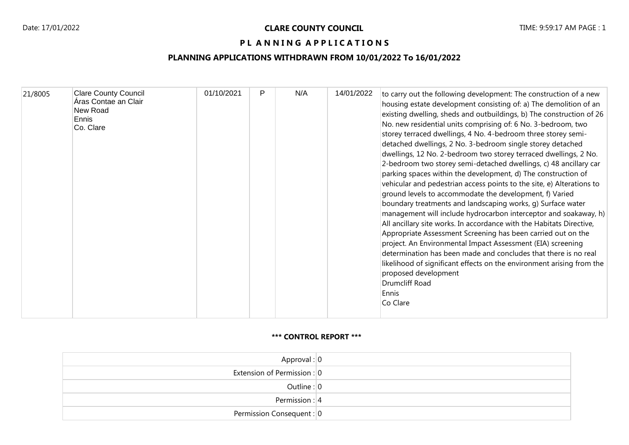### PL ANNING APPLICATIONS

# **PLANNING APPLICATIONS WITHDRAWN FROM 10/01/2022 To 16/01/2022**

| 21/8005<br>New Road<br>Ennis<br>Co. Clare | <b>Clare County Council</b><br>Áras Contae an Clair | 01/10/2021 | P | N/A | 14/01/2022 | to carry out the following development: The construction of a new<br>housing estate development consisting of: a) The demolition of an<br>existing dwelling, sheds and outbuildings, b) The construction of 26<br>No. new residential units comprising of: 6 No. 3-bedroom, two<br>storey terraced dwellings, 4 No. 4-bedroom three storey semi-<br>detached dwellings, 2 No. 3-bedroom single storey detached<br>dwellings, 12 No. 2-bedroom two storey terraced dwellings, 2 No.<br>2-bedroom two storey semi-detached dwellings, c) 48 ancillary car<br>parking spaces within the development, d) The construction of<br>vehicular and pedestrian access points to the site, e) Alterations to<br>ground levels to accommodate the development, f) Varied<br>boundary treatments and landscaping works, g) Surface water<br>management will include hydrocarbon interceptor and soakaway, h)<br>All ancillary site works. In accordance with the Habitats Directive,<br>Appropriate Assessment Screening has been carried out on the<br>project. An Environmental Impact Assessment (EIA) screening<br>determination has been made and concludes that there is no real<br>likelihood of significant effects on the environment arising from the<br>proposed development<br>Drumcliff Road |
|-------------------------------------------|-----------------------------------------------------|------------|---|-----|------------|----------------------------------------------------------------------------------------------------------------------------------------------------------------------------------------------------------------------------------------------------------------------------------------------------------------------------------------------------------------------------------------------------------------------------------------------------------------------------------------------------------------------------------------------------------------------------------------------------------------------------------------------------------------------------------------------------------------------------------------------------------------------------------------------------------------------------------------------------------------------------------------------------------------------------------------------------------------------------------------------------------------------------------------------------------------------------------------------------------------------------------------------------------------------------------------------------------------------------------------------------------------------------------------------|
|-------------------------------------------|-----------------------------------------------------|------------|---|-----|------------|----------------------------------------------------------------------------------------------------------------------------------------------------------------------------------------------------------------------------------------------------------------------------------------------------------------------------------------------------------------------------------------------------------------------------------------------------------------------------------------------------------------------------------------------------------------------------------------------------------------------------------------------------------------------------------------------------------------------------------------------------------------------------------------------------------------------------------------------------------------------------------------------------------------------------------------------------------------------------------------------------------------------------------------------------------------------------------------------------------------------------------------------------------------------------------------------------------------------------------------------------------------------------------------------|

#### **\*\*\* CONTROL REPORT \*\*\***

| Approval: $ 0 $             |  |
|-----------------------------|--|
| Extension of Permission : 0 |  |
| Outline: $ 0 $              |  |
| Permission : $ 4 $          |  |
| Permission Consequent: 0    |  |